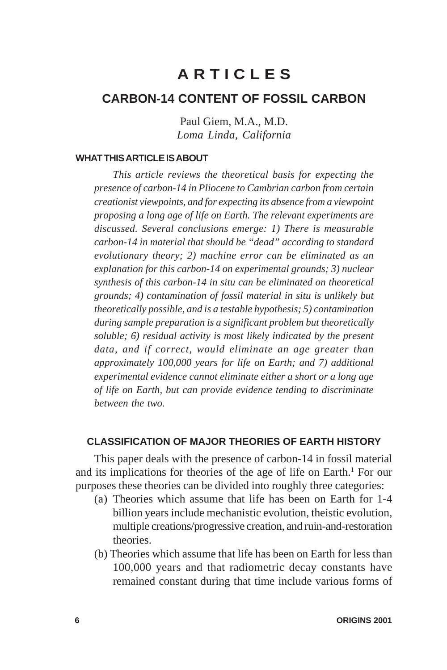# **A R T I C L E S**

## **CARBON-14 CONTENT OF FOSSIL CARBON**

Paul Giem, M.A., M.D. *Loma Linda, California*

### **WHAT THIS ARTICLE IS ABOUT**

*This article reviews the theoretical basis for expecting the presence of carbon-14 in Pliocene to Cambrian carbon from certain creationist viewpoints, and for expecting its absence from a viewpoint proposing a long age of life on Earth. The relevant experiments are discussed. Several conclusions emerge: 1) There is measurable carbon-14 in material that should be "dead" according to standard evolutionary theory; 2) machine error can be eliminated as an explanation for this carbon-14 on experimental grounds; 3) nuclear synthesis of this carbon-14 in situ can be eliminated on theoretical grounds; 4) contamination of fossil material in situ is unlikely but theoretically possible, and is a testable hypothesis; 5) contamination during sample preparation is a significant problem but theoretically soluble; 6) residual activity is most likely indicated by the present data, and if correct, would eliminate an age greater than approximately 100,000 years for life on Earth; and 7) additional experimental evidence cannot eliminate either a short or a long age of life on Earth, but can provide evidence tending to discriminate between the two.*

## **CLASSIFICATION OF MAJOR THEORIES OF EARTH HISTORY**

This paper deals with the presence of carbon-14 in fossil material and its implications for theories of the age of life on Earth.<sup>1</sup> For our purposes these theories can be divided into roughly three categories:

- (a) Theories which assume that life has been on Earth for 1-4 billion years include mechanistic evolution, theistic evolution, multiple creations/progressive creation, and ruin-and-restoration theories.
- (b) Theories which assume that life has been on Earth for less than 100,000 years and that radiometric decay constants have remained constant during that time include various forms of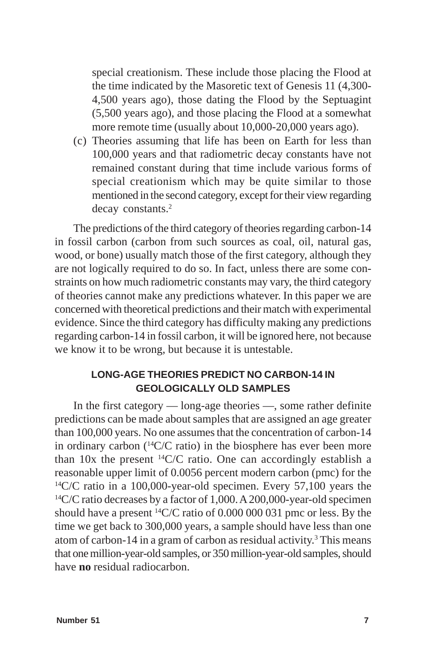special creationism. These include those placing the Flood at the time indicated by the Masoretic text of Genesis 11 (4,300- 4,500 years ago), those dating the Flood by the Septuagint (5,500 years ago), and those placing the Flood at a somewhat more remote time (usually about 10,000-20,000 years ago).

(c) Theories assuming that life has been on Earth for less than 100,000 years and that radiometric decay constants have not remained constant during that time include various forms of special creationism which may be quite similar to those mentioned in the second category, except for their view regarding decay constants.<sup>2</sup>

The predictions of the third category of theories regarding carbon-14 in fossil carbon (carbon from such sources as coal, oil, natural gas, wood, or bone) usually match those of the first category, although they are not logically required to do so. In fact, unless there are some constraints on how much radiometric constants may vary, the third category of theories cannot make any predictions whatever. In this paper we are concerned with theoretical predictions and their match with experimental evidence. Since the third category has difficulty making any predictions regarding carbon-14 in fossil carbon, it will be ignored here, not because we know it to be wrong, but because it is untestable.

## **LONG-AGE THEORIES PREDICT NO CARBON-14 IN GEOLOGICALLY OLD SAMPLES**

In the first category — long-age theories —, some rather definite predictions can be made about samples that are assigned an age greater than 100,000 years. No one assumes that the concentration of carbon-14 in ordinary carbon (14C/C ratio) in the biosphere has ever been more than 10x the present  ${}^{14}C/C$  ratio. One can accordingly establish a reasonable upper limit of 0.0056 percent modern carbon (pmc) for the  $14$ C/C ratio in a 100,000-year-old specimen. Every 57,100 years the  $^{14}$ C/C ratio decreases by a factor of 1,000. A 200,000-year-old specimen should have a present 14C/C ratio of 0.000 000 031 pmc or less. By the time we get back to 300,000 years, a sample should have less than one atom of carbon-14 in a gram of carbon as residual activity.<sup>3</sup> This means that one million-year-old samples, or 350 million-year-old samples, should have **no** residual radiocarbon.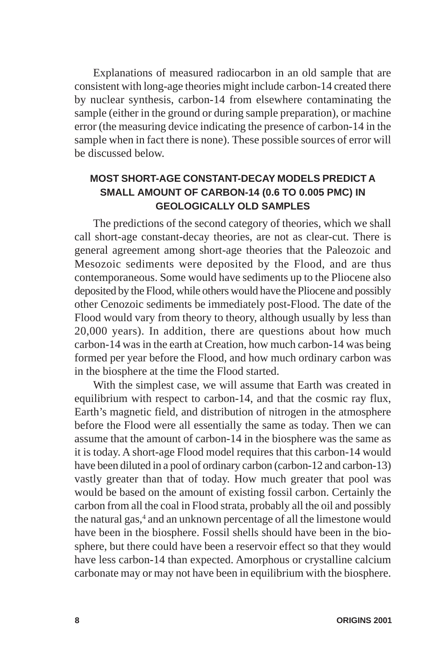Explanations of measured radiocarbon in an old sample that are consistent with long-age theories might include carbon-14 created there by nuclear synthesis, carbon-14 from elsewhere contaminating the sample (either in the ground or during sample preparation), or machine error (the measuring device indicating the presence of carbon-14 in the sample when in fact there is none). These possible sources of error will be discussed below.

## **MOST SHORT-AGE CONSTANT-DECAY MODELS PREDICT A SMALL AMOUNT OF CARBON-14 (0.6 TO 0.005 PMC) IN GEOLOGICALLY OLD SAMPLES**

The predictions of the second category of theories, which we shall call short-age constant-decay theories, are not as clear-cut. There is general agreement among short-age theories that the Paleozoic and Mesozoic sediments were deposited by the Flood, and are thus contemporaneous. Some would have sediments up to the Pliocene also deposited by the Flood, while others would have the Pliocene and possibly other Cenozoic sediments be immediately post-Flood. The date of the Flood would vary from theory to theory, although usually by less than 20,000 years). In addition, there are questions about how much carbon-14 was in the earth at Creation, how much carbon-14 was being formed per year before the Flood, and how much ordinary carbon was in the biosphere at the time the Flood started.

With the simplest case, we will assume that Earth was created in equilibrium with respect to carbon-14, and that the cosmic ray flux, Earth's magnetic field, and distribution of nitrogen in the atmosphere before the Flood were all essentially the same as today. Then we can assume that the amount of carbon-14 in the biosphere was the same as it is today. A short-age Flood model requires that this carbon-14 would have been diluted in a pool of ordinary carbon (carbon-12 and carbon-13) vastly greater than that of today. How much greater that pool was would be based on the amount of existing fossil carbon. Certainly the carbon from all the coal in Flood strata, probably all the oil and possibly the natural gas,<sup>4</sup> and an unknown percentage of all the limestone would have been in the biosphere. Fossil shells should have been in the biosphere, but there could have been a reservoir effect so that they would have less carbon-14 than expected. Amorphous or crystalline calcium carbonate may or may not have been in equilibrium with the biosphere.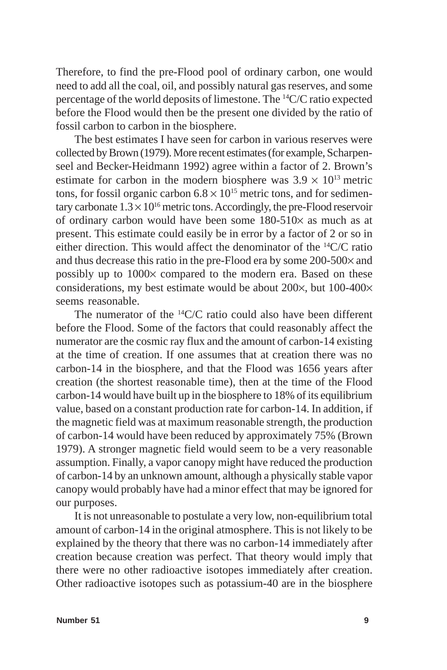Therefore, to find the pre-Flood pool of ordinary carbon, one would need to add all the coal, oil, and possibly natural gas reserves, and some percentage of the world deposits of limestone. The 14C/C ratio expected before the Flood would then be the present one divided by the ratio of fossil carbon to carbon in the biosphere.

The best estimates I have seen for carbon in various reserves were collected by Brown (1979). More recent estimates (for example, Scharpenseel and Becker-Heidmann 1992) agree within a factor of 2. Brown's estimate for carbon in the modern biosphere was  $3.9 \times 10^{13}$  metric tons, for fossil organic carbon  $6.8 \times 10^{15}$  metric tons, and for sedimentary carbonate  $1.3 \times 10^{16}$  metric tons. Accordingly, the pre-Flood reservoir of ordinary carbon would have been some 180-510× as much as at present. This estimate could easily be in error by a factor of 2 or so in either direction. This would affect the denominator of the 14C/C ratio and thus decrease this ratio in the pre-Flood era by some 200-500× and possibly up to 1000× compared to the modern era. Based on these considerations, my best estimate would be about 200×, but 100-400× seems reasonable.

The numerator of the  ${}^{14}C/C$  ratio could also have been different before the Flood. Some of the factors that could reasonably affect the numerator are the cosmic ray flux and the amount of carbon-14 existing at the time of creation. If one assumes that at creation there was no carbon-14 in the biosphere, and that the Flood was 1656 years after creation (the shortest reasonable time), then at the time of the Flood carbon-14 would have built up in the biosphere to 18% of its equilibrium value, based on a constant production rate for carbon-14. In addition, if the magnetic field was at maximum reasonable strength, the production of carbon-14 would have been reduced by approximately 75% (Brown 1979). A stronger magnetic field would seem to be a very reasonable assumption. Finally, a vapor canopy might have reduced the production of carbon-14 by an unknown amount, although a physically stable vapor canopy would probably have had a minor effect that may be ignored for our purposes.

It is not unreasonable to postulate a very low, non-equilibrium total amount of carbon-14 in the original atmosphere. This is not likely to be explained by the theory that there was no carbon-14 immediately after creation because creation was perfect. That theory would imply that there were no other radioactive isotopes immediately after creation. Other radioactive isotopes such as potassium-40 are in the biosphere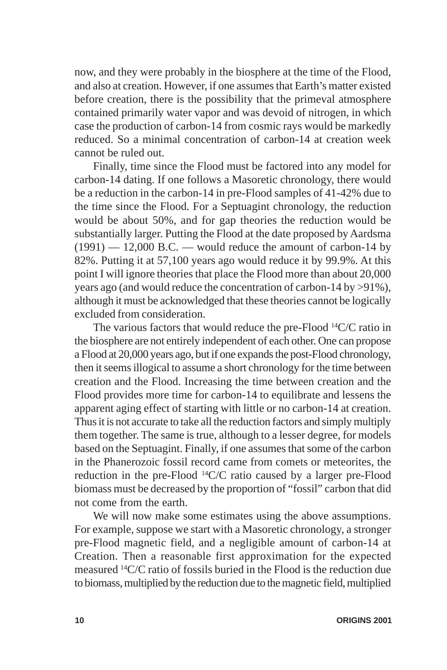now, and they were probably in the biosphere at the time of the Flood, and also at creation. However, if one assumes that Earth's matter existed before creation, there is the possibility that the primeval atmosphere contained primarily water vapor and was devoid of nitrogen, in which case the production of carbon-14 from cosmic rays would be markedly reduced. So a minimal concentration of carbon-14 at creation week cannot be ruled out.

Finally, time since the Flood must be factored into any model for carbon-14 dating. If one follows a Masoretic chronology, there would be a reduction in the carbon-14 in pre-Flood samples of 41-42% due to the time since the Flood. For a Septuagint chronology, the reduction would be about 50%, and for gap theories the reduction would be substantially larger. Putting the Flood at the date proposed by Aardsma  $(1991) - 12,000$  B.C. — would reduce the amount of carbon-14 by 82%. Putting it at 57,100 years ago would reduce it by 99.9%. At this point I will ignore theories that place the Flood more than about 20,000 years ago (and would reduce the concentration of carbon-14 by >91%), although it must be acknowledged that these theories cannot be logically excluded from consideration.

The various factors that would reduce the pre-Flood <sup>14</sup>C/C ratio in the biosphere are not entirely independent of each other. One can propose a Flood at 20,000 years ago, but if one expands the post-Flood chronology, then it seems illogical to assume a short chronology for the time between creation and the Flood. Increasing the time between creation and the Flood provides more time for carbon-14 to equilibrate and lessens the apparent aging effect of starting with little or no carbon-14 at creation. Thus it is not accurate to take all the reduction factors and simply multiply them together. The same is true, although to a lesser degree, for models based on the Septuagint. Finally, if one assumes that some of the carbon in the Phanerozoic fossil record came from comets or meteorites, the reduction in the pre-Flood 14C/C ratio caused by a larger pre-Flood biomass must be decreased by the proportion of "fossil" carbon that did not come from the earth.

We will now make some estimates using the above assumptions. For example, suppose we start with a Masoretic chronology, a stronger pre-Flood magnetic field, and a negligible amount of carbon-14 at Creation. Then a reasonable first approximation for the expected measured 14C/C ratio of fossils buried in the Flood is the reduction due to biomass, multiplied by the reduction due to the magnetic field, multiplied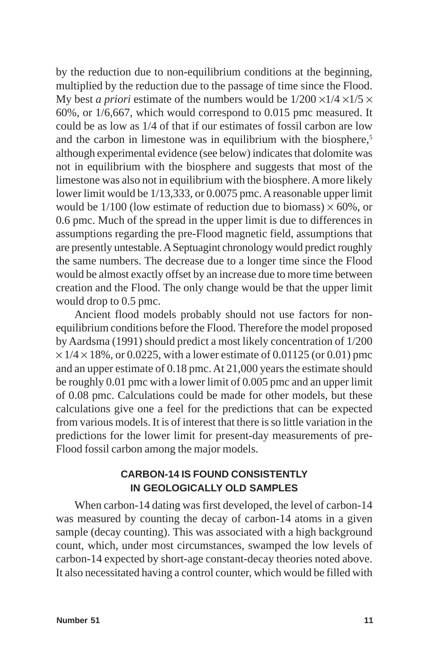by the reduction due to non-equilibrium conditions at the beginning, multiplied by the reduction due to the passage of time since the Flood. My best *a priori* estimate of the numbers would be  $1/200 \times 1/4 \times 1/5 \times$ 60%, or 1/6,667, which would correspond to 0.015 pmc measured. It could be as low as 1/4 of that if our estimates of fossil carbon are low and the carbon in limestone was in equilibrium with the biosphere,<sup>5</sup> although experimental evidence (see below) indicates that dolomite was not in equilibrium with the biosphere and suggests that most of the limestone was also not in equilibrium with the biosphere. A more likely lower limit would be 1/13,333, or 0.0075 pmc. A reasonable upper limit would be  $1/100$  (low estimate of reduction due to biomass)  $\times 60\%$ , or 0.6 pmc. Much of the spread in the upper limit is due to differences in assumptions regarding the pre-Flood magnetic field, assumptions that are presently untestable. A Septuagint chronology would predict roughly the same numbers. The decrease due to a longer time since the Flood would be almost exactly offset by an increase due to more time between creation and the Flood. The only change would be that the upper limit would drop to 0.5 pmc.

Ancient flood models probably should not use factors for nonequilibrium conditions before the Flood. Therefore the model proposed by Aardsma (1991) should predict a most likely concentration of 1/200  $\times$  1/4  $\times$  18%, or 0.0225, with a lower estimate of 0.01125 (or 0.01) pmc and an upper estimate of 0.18 pmc. At 21,000 years the estimate should be roughly 0.01 pmc with a lower limit of 0.005 pmc and an upper limit of 0.08 pmc. Calculations could be made for other models, but these calculations give one a feel for the predictions that can be expected from various models. It is of interest that there is so little variation in the predictions for the lower limit for present-day measurements of pre-Flood fossil carbon among the major models.

## **CARBON-14 IS FOUND CONSISTENTLY IN GEOLOGICALLY OLD SAMPLES**

When carbon-14 dating was first developed, the level of carbon-14 was measured by counting the decay of carbon-14 atoms in a given sample (decay counting). This was associated with a high background count, which, under most circumstances, swamped the low levels of carbon-14 expected by short-age constant-decay theories noted above. It also necessitated having a control counter, which would be filled with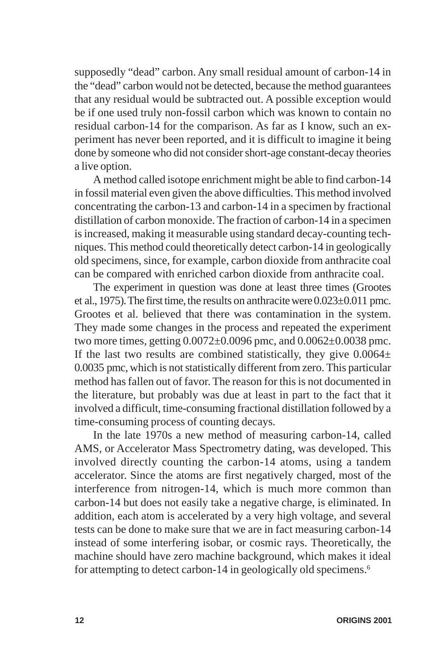supposedly "dead" carbon. Any small residual amount of carbon-14 in the "dead" carbon would not be detected, because the method guarantees that any residual would be subtracted out. A possible exception would be if one used truly non-fossil carbon which was known to contain no residual carbon-14 for the comparison. As far as I know, such an experiment has never been reported, and it is difficult to imagine it being done by someone who did not consider short-age constant-decay theories a live option.

A method called isotope enrichment might be able to find carbon-14 in fossil material even given the above difficulties. This method involved concentrating the carbon-13 and carbon-14 in a specimen by fractional distillation of carbon monoxide. The fraction of carbon-14 in a specimen is increased, making it measurable using standard decay-counting techniques. This method could theoretically detect carbon-14 in geologically old specimens, since, for example, carbon dioxide from anthracite coal can be compared with enriched carbon dioxide from anthracite coal.

The experiment in question was done at least three times (Grootes et al., 1975). The first time, the results on anthracite were 0.023±0.011 pmc. Grootes et al. believed that there was contamination in the system. They made some changes in the process and repeated the experiment two more times, getting 0.0072±0.0096 pmc, and 0.0062±0.0038 pmc. If the last two results are combined statistically, they give  $0.0064\pm$ 0.0035 pmc, which is not statistically different from zero. This particular method has fallen out of favor. The reason for this is not documented in the literature, but probably was due at least in part to the fact that it involved a difficult, time-consuming fractional distillation followed by a time-consuming process of counting decays.

In the late 1970s a new method of measuring carbon-14, called AMS, or Accelerator Mass Spectrometry dating, was developed. This involved directly counting the carbon-14 atoms, using a tandem accelerator. Since the atoms are first negatively charged, most of the interference from nitrogen-14, which is much more common than carbon-14 but does not easily take a negative charge, is eliminated. In addition, each atom is accelerated by a very high voltage, and several tests can be done to make sure that we are in fact measuring carbon-14 instead of some interfering isobar, or cosmic rays. Theoretically, the machine should have zero machine background, which makes it ideal for attempting to detect carbon-14 in geologically old specimens.6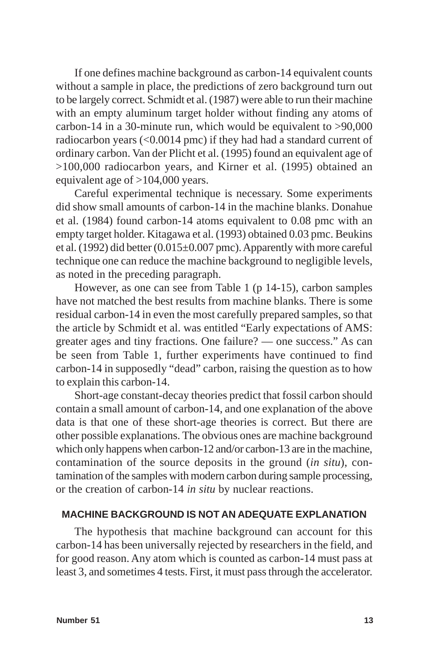If one defines machine background as carbon-14 equivalent counts without a sample in place, the predictions of zero background turn out to be largely correct. Schmidt et al. (1987) were able to run their machine with an empty aluminum target holder without finding any atoms of carbon-14 in a 30-minute run, which would be equivalent to >90,000 radiocarbon years (<0.0014 pmc) if they had had a standard current of ordinary carbon. Van der Plicht et al. (1995) found an equivalent age of >100,000 radiocarbon years, and Kirner et al. (1995) obtained an equivalent age of >104,000 years.

Careful experimental technique is necessary. Some experiments did show small amounts of carbon-14 in the machine blanks. Donahue et al. (1984) found carbon-14 atoms equivalent to 0.08 pmc with an empty target holder. Kitagawa et al. (1993) obtained 0.03 pmc. Beukins et al. (1992) did better (0.015±0.007 pmc). Apparently with more careful technique one can reduce the machine background to negligible levels, as noted in the preceding paragraph.

However, as one can see from Table 1 (p 14-15), carbon samples have not matched the best results from machine blanks. There is some residual carbon-14 in even the most carefully prepared samples, so that the article by Schmidt et al. was entitled "Early expectations of AMS: greater ages and tiny fractions. One failure? — one success." As can be seen from Table 1, further experiments have continued to find carbon-14 in supposedly "dead" carbon, raising the question as to how to explain this carbon-14.

Short-age constant-decay theories predict that fossil carbon should contain a small amount of carbon-14, and one explanation of the above data is that one of these short-age theories is correct. But there are other possible explanations. The obvious ones are machine background which only happens when carbon-12 and/or carbon-13 are in the machine, contamination of the source deposits in the ground (*in situ*), contamination of the samples with modern carbon during sample processing, or the creation of carbon-14 *in situ* by nuclear reactions.

### **MACHINE BACKGROUND IS NOT AN ADEQUATE EXPLANATION**

The hypothesis that machine background can account for this carbon-14 has been universally rejected by researchers in the field, and for good reason. Any atom which is counted as carbon-14 must pass at least 3, and sometimes 4 tests. First, it must pass through the accelerator.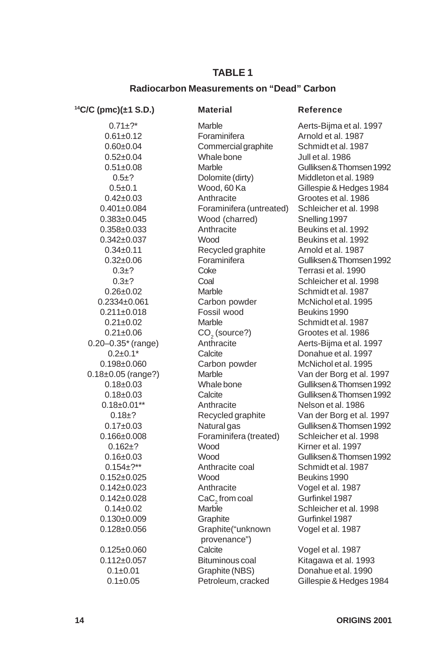### **TABLE 1**

### **Radiocarbon Measurements on "Dead" Carbon**

**14C/C (pmc)(±1 S.D.) Material Reference**

 $0.21 \pm 0.06$  CO<sub>2</sub> (source?)<br> $0.20 - 0.35$ <sup>\*</sup> (range) Anthracite

0.61±0.12 Foraminifera Arnold et al. 1987 0.60±0.04 Commercial graphite Schmidt et al. 1987 0.52±0.04 Whale bone Jull et al. 1986 0.5±0.1 Wood, 60 Ka Gillespie & Hedges 1984 0.42±0.03 Anthracite Grootes et al. 1986 0.401±0.084 Foraminifera (untreated) Schleicher et al. 1998 0.383±0.045 Wood (charred) Snelling 1997 0.358±0.033 Anthracite Beukins et al. 1992 0.342±0.037 Wood Beukins et al. 1992<br>0.34±0.11 Recycled graphite Arnold et al. 1987  $0.34\pm0.11$  Recycled graphite 0.3±? Coke Terrasi et al. 1990<br>0.3+? Coal Consumers Schleicher et al. 19 0.3±? Coal Schleicher et al. 1998 0.26±0.02 Marble Schmidt et al. 1987 0.2334±0.061 Carbon powder McNichol et al. 1995  $0.211\pm0.018$  Fossil wood Beukins 1990 0.21±0.02 Marble Schmidt et al. 1987 0.2 $\pm$ 0.1<sup>\*</sup> Calcite Donahue et al. 1997 0.198±0.060 Carbon powder McNichol et al. 1995 0.18±0.01\*\* Anthracite Nelson et al. 1986 0.166±0.008 Foraminifera (treated) Schleicher et al. 1998 0.162±? Wood Kirner et al. 1997 0.154±?\*\* Anthracite coal Schmidt et al. 1987 0.152±0.025 Wood Beukins 1990 0.142±0.023 Anthracite Vogel et al. 1987 0.142±0.028 CaC<sub>2</sub> from coal Gurfinkel 1987<br>0.14±0.02 Marble Caca Schleicher et a 0.130±0.009 Graphite Gurfinkel 1987 0.128±0.056 Graphite("unknown Vogel et al. 1987 provenance") 0.125±0.060 Calcite Vogel et al. 1987 0.112±0.057 Bituminous coal Kitagawa et al. 1993 0.1±0.01 Graphite (NBS) Donahue et al. 1990 0.1±0.05 Petroleum, cracked Gillespie & Hedges 1984

0.71±?\* Marble Marble Aerts-Bijma et al. 1997 0.51±0.08 Marble Gulliksen & Thomsen 1992<br>0.5±? Dolomite (dirty) Middleton et al. 1989 Middleton et al. 1989 0.32±0.06 Foraminifera Gulliksen & Thomsen 1992 Grootes et al. 1986 Aerts-Bijma et al. 1997 0.18±0.05 (range?) Marble Van der Borg et al. 1997 0.18±0.03 Whale bone Gulliksen & Thomsen 1992 0.18±0.03 Calcite Gulliksen & Thomsen 1992 0.18±? Recycled graphite Van der Borg et al. 1997 0.17±0.03 Natural gas Gulliksen & Thomsen 1992 0.16±0.03 Wood Gulliksen & Thomsen 1992 Schleicher et al. 1998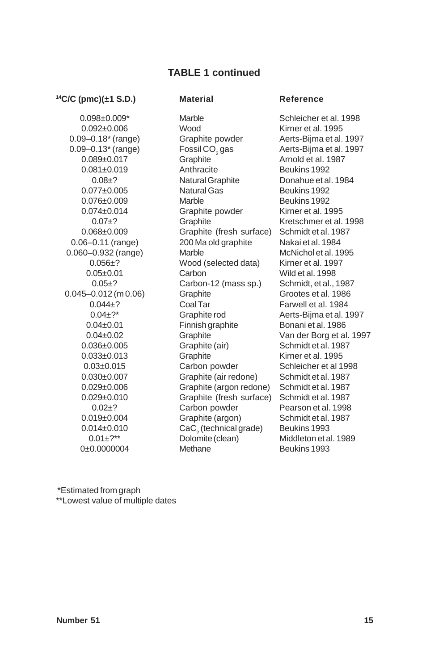## **TABLE 1 continued**

#### **14C/C (pmc)(±1 S.D.) Material Reference**

 $0.09-0.13^*$  (range) Fossil CO<sub>2</sub> gas<br>0.089±0.017 Graphite 0.045–0.012 (m 0.06) Graphite  $0.014\pm0.010$  CaC<sub>2</sub> (technical g<br> $0.01\pm$ ?<sup>\*\*</sup> Dolomite (clean)

0.098±0.009\* Marble Schleicher et al. 1998 0.092±0.006 Wood Kirner et al. 1995 0.09–0.18<sup>\*</sup> (range) Graphite powder Aerts-Bijma et al. 1997 0.081±0.019 Anthracite Beukins 1992 0.08±? Natural Graphite Donahue et al. 1984  $0.077\pm0.005$  Natural Gas Beukins 1992 0.076±0.009 Marble Beukins 1992 0.074±0.014 Graphite powder Kirner et al. 1995 0.07±? Graphite Kretschmer et al. 1998<br>1997 - Graphite (fresh surface) Schmidtet al. 1987  $0.068\pm0.009$  Graphite (fresh surface) 0.06–0.11 (range) 200 Ma old graphite Nakai et al. 1984 0.060–0.932 (range) Marble McNichol et al. 1995 0.056±? Wood (selected data) Kirner et al. 1997 0.05±0.01 Carbon Wild et al. 1998 0.05±? Carbon-12 (mass sp.) Schmidt, et al., 1987<br>0.012 (m 0.06) Graphite Grootes et al. 1986 0.044±? Coal Tar Farwell et al. 1984 0.04±?\* Graphite rod Aerts-Bijma et al. 1997 0.04±0.01 Finnish graphite Bonani et al. 1986 0.04±0.02 Graphite Van der Borg et al. 1997 0.036±0.005 Graphite (air) Schmidt et al. 1987 0.033±0.013 Graphite Kirner et al. 1995 0.03±0.015 Carbon powder Schleicher et al 1998 0.030±0.007 Graphite (air redone) Schmidt et al. 1987 0.029±0.006 Graphite (argon redone) Schmidt et al. 1987 0.029±0.010 Graphite (fresh surface) Schmidt et al. 1987 0.02±? Carbon powder Pearson et al. 1998 0.019±0.004 Graphite (argon) Schmidt et al. 1987 CaC<sub>2</sub> (technical grade) Beukins 1993 0±0.0000004 Methane Beukins 1993

Aerts-Bijma et al. 1997 Arnold et al. 1987 Middleton et al. 1989

 \*Estimated from graph \*\*Lowest value of multiple dates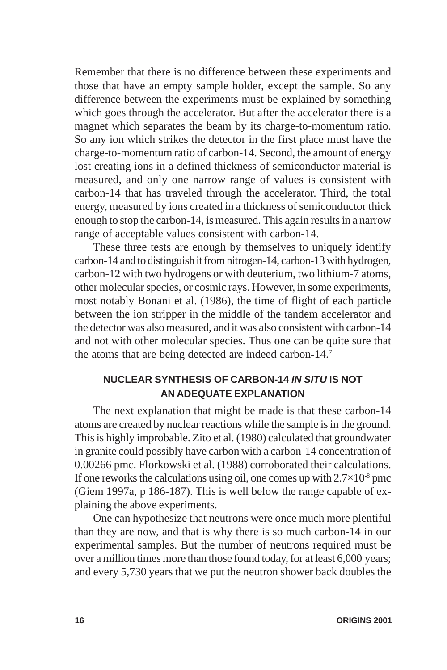Remember that there is no difference between these experiments and those that have an empty sample holder, except the sample. So any difference between the experiments must be explained by something which goes through the accelerator. But after the accelerator there is a magnet which separates the beam by its charge-to-momentum ratio. So any ion which strikes the detector in the first place must have the charge-to-momentum ratio of carbon-14. Second, the amount of energy lost creating ions in a defined thickness of semiconductor material is measured, and only one narrow range of values is consistent with carbon-14 that has traveled through the accelerator. Third, the total energy, measured by ions created in a thickness of semiconductor thick enough to stop the carbon-14, is measured. This again results in a narrow range of acceptable values consistent with carbon-14.

These three tests are enough by themselves to uniquely identify carbon-14 and to distinguish it from nitrogen-14, carbon-13 with hydrogen, carbon-12 with two hydrogens or with deuterium, two lithium-7 atoms, other molecular species, or cosmic rays. However, in some experiments, most notably Bonani et al. (1986), the time of flight of each particle between the ion stripper in the middle of the tandem accelerator and the detector was also measured, and it was also consistent with carbon-14 and not with other molecular species. Thus one can be quite sure that the atoms that are being detected are indeed carbon-14.7

## **NUCLEAR SYNTHESIS OF CARBON-14** *IN SITU* **IS NOT AN ADEQUATE EXPLANATION**

The next explanation that might be made is that these carbon-14 atoms are created by nuclear reactions while the sample is in the ground. This is highly improbable. Zito et al. (1980) calculated that groundwater in granite could possibly have carbon with a carbon-14 concentration of 0.00266 pmc. Florkowski et al. (1988) corroborated their calculations. If one reworks the calculations using oil, one comes up with  $2.7\times10^8$  pmc (Giem 1997a, p 186-187). This is well below the range capable of explaining the above experiments.

One can hypothesize that neutrons were once much more plentiful than they are now, and that is why there is so much carbon-14 in our experimental samples. But the number of neutrons required must be over a million times more than those found today, for at least 6,000 years; and every 5,730 years that we put the neutron shower back doubles the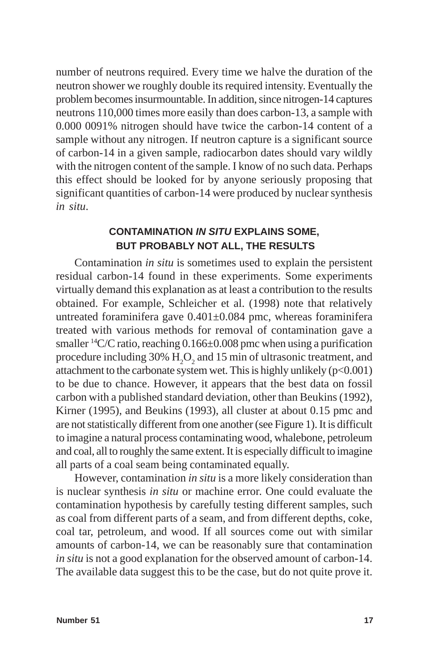number of neutrons required. Every time we halve the duration of the neutron shower we roughly double its required intensity. Eventually the problem becomes insurmountable. In addition, since nitrogen-14 captures neutrons 110,000 times more easily than does carbon-13, a sample with 0.000 0091% nitrogen should have twice the carbon-14 content of a sample without any nitrogen. If neutron capture is a significant source of carbon-14 in a given sample, radiocarbon dates should vary wildly with the nitrogen content of the sample. I know of no such data. Perhaps this effect should be looked for by anyone seriously proposing that significant quantities of carbon-14 were produced by nuclear synthesis *in situ*.

## **CONTAMINATION** *IN SITU* **EXPLAINS SOME, BUT PROBABLY NOT ALL, THE RESULTS**

Contamination *in situ* is sometimes used to explain the persistent residual carbon-14 found in these experiments. Some experiments virtually demand this explanation as at least a contribution to the results obtained. For example, Schleicher et al. (1998) note that relatively untreated foraminifera gave  $0.401 \pm 0.084$  pmc, whereas foraminifera treated with various methods for removal of contamination gave a smaller <sup>14</sup>C/C ratio, reaching 0.166±0.008 pmc when using a purification procedure including 30%  $\rm H_2O_2$  and 15 min of ultrasonic treatment, and attachment to the carbonate system wet. This is highly unlikely  $(p<0.001)$ to be due to chance. However, it appears that the best data on fossil carbon with a published standard deviation, other than Beukins (1992), Kirner (1995), and Beukins (1993), all cluster at about 0.15 pmc and are not statistically different from one another (see Figure 1). It is difficult to imagine a natural process contaminating wood, whalebone, petroleum and coal, all to roughly the same extent. It is especially difficult to imagine all parts of a coal seam being contaminated equally.

However, contamination *in situ* is a more likely consideration than is nuclear synthesis *in situ* or machine error. One could evaluate the contamination hypothesis by carefully testing different samples, such as coal from different parts of a seam, and from different depths, coke, coal tar, petroleum, and wood. If all sources come out with similar amounts of carbon-14, we can be reasonably sure that contamination *in situ* is not a good explanation for the observed amount of carbon-14. The available data suggest this to be the case, but do not quite prove it.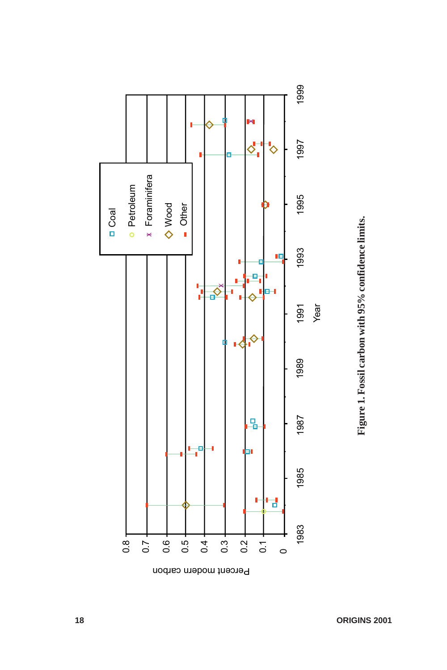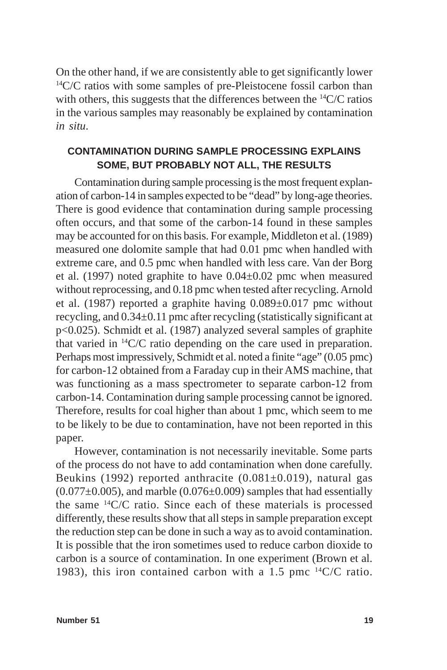On the other hand, if we are consistently able to get significantly lower <sup>14</sup>C/C ratios with some samples of pre-Pleistocene fossil carbon than with others, this suggests that the differences between the  $^{14}C/C$  ratios in the various samples may reasonably be explained by contamination *in situ*.

## **CONTAMINATION DURING SAMPLE PROCESSING EXPLAINS SOME, BUT PROBABLY NOT ALL, THE RESULTS**

Contamination during sample processing is the most frequent explanation of carbon-14 in samples expected to be "dead" by long-age theories. There is good evidence that contamination during sample processing often occurs, and that some of the carbon-14 found in these samples may be accounted for on this basis. For example, Middleton et al. (1989) measured one dolomite sample that had 0.01 pmc when handled with extreme care, and 0.5 pmc when handled with less care. Van der Borg et al. (1997) noted graphite to have 0.04±0.02 pmc when measured without reprocessing, and 0.18 pmc when tested after recycling. Arnold et al. (1987) reported a graphite having 0.089±0.017 pmc without recycling, and 0.34±0.11 pmc after recycling (statistically significant at p<0.025). Schmidt et al. (1987) analyzed several samples of graphite that varied in 14C/C ratio depending on the care used in preparation. Perhaps most impressively, Schmidt et al. noted a finite "age" (0.05 pmc) for carbon-12 obtained from a Faraday cup in their AMS machine, that was functioning as a mass spectrometer to separate carbon-12 from carbon-14. Contamination during sample processing cannot be ignored. Therefore, results for coal higher than about 1 pmc, which seem to me to be likely to be due to contamination, have not been reported in this paper.

However, contamination is not necessarily inevitable. Some parts of the process do not have to add contamination when done carefully. Beukins (1992) reported anthracite  $(0.081 \pm 0.019)$ , natural gas  $(0.077\pm0.005)$ , and marble  $(0.076\pm0.009)$  samples that had essentially the same  $^{14}C/C$  ratio. Since each of these materials is processed differently, these results show that all steps in sample preparation except the reduction step can be done in such a way as to avoid contamination. It is possible that the iron sometimes used to reduce carbon dioxide to carbon is a source of contamination. In one experiment (Brown et al. 1983), this iron contained carbon with a 1.5 pmc  $^{14}C/C$  ratio.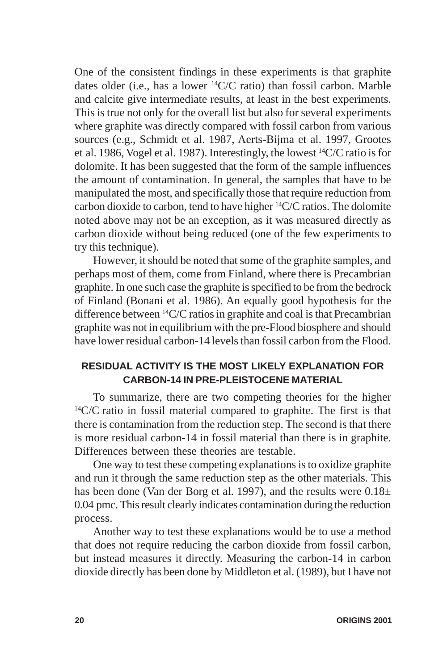One of the consistent findings in these experiments is that graphite dates older (i.e., has a lower 14C/C ratio) than fossil carbon. Marble and calcite give intermediate results, at least in the best experiments. This is true not only for the overall list but also for several experiments where graphite was directly compared with fossil carbon from various sources (e.g., Schmidt et al. 1987, Aerts-Bijma et al. 1997, Grootes et al. 1986, Vogel et al. 1987). Interestingly, the lowest  ${}^{14}C/C$  ratio is for dolomite. It has been suggested that the form of the sample influences the amount of contamination. In general, the samples that have to be manipulated the most, and specifically those that require reduction from carbon dioxide to carbon, tend to have higher 14C/C ratios. The dolomite noted above may not be an exception, as it was measured directly as carbon dioxide without being reduced (one of the few experiments to try this technique).

However, it should be noted that some of the graphite samples, and perhaps most of them, come from Finland, where there is Precambrian graphite. In one such case the graphite is specified to be from the bedrock of Finland (Bonani et al. 1986). An equally good hypothesis for the difference between  ${}^{14}C/C$  ratios in graphite and coal is that Precambrian graphite was not in equilibrium with the pre-Flood biosphere and should have lower residual carbon-14 levels than fossil carbon from the Flood.

## **RESIDUAL ACTIVITY IS THE MOST LIKELY EXPLANATION FOR CARBON-14 IN PRE-PLEISTOCENE MATERIAL**

To summarize, there are two competing theories for the higher  $14C/C$  ratio in fossil material compared to graphite. The first is that there is contamination from the reduction step. The second is that there is more residual carbon-14 in fossil material than there is in graphite. Differences between these theories are testable.

One way to test these competing explanations is to oxidize graphite and run it through the same reduction step as the other materials. This has been done (Van der Borg et al. 1997), and the results were  $0.18\pm$ 0.04 pmc. This result clearly indicates contamination during the reduction process.

Another way to test these explanations would be to use a method that does not require reducing the carbon dioxide from fossil carbon, but instead measures it directly. Measuring the carbon-14 in carbon dioxide directly has been done by Middleton et al. (1989), but I have not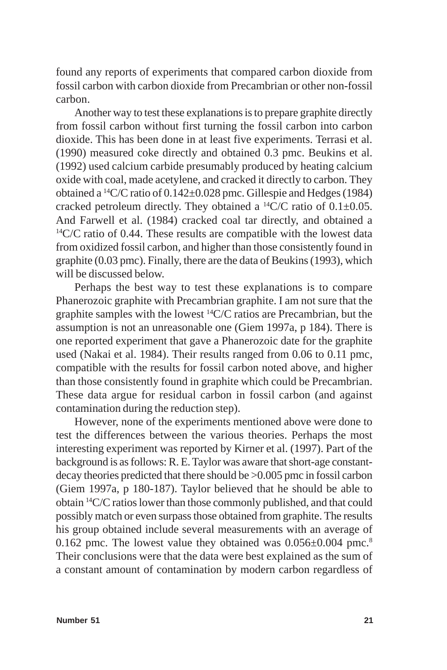found any reports of experiments that compared carbon dioxide from fossil carbon with carbon dioxide from Precambrian or other non-fossil carbon.

Another way to test these explanations is to prepare graphite directly from fossil carbon without first turning the fossil carbon into carbon dioxide. This has been done in at least five experiments. Terrasi et al. (1990) measured coke directly and obtained 0.3 pmc. Beukins et al. (1992) used calcium carbide presumably produced by heating calcium oxide with coal, made acetylene, and cracked it directly to carbon. They obtained a <sup>14</sup>C/C ratio of 0.142 $\pm$ 0.028 pmc. Gillespie and Hedges (1984) cracked petroleum directly. They obtained a  $^{14}C/C$  ratio of 0.1 $\pm$ 0.05. And Farwell et al. (1984) cracked coal tar directly, and obtained a  $14C/C$  ratio of 0.44. These results are compatible with the lowest data from oxidized fossil carbon, and higher than those consistently found in graphite (0.03 pmc). Finally, there are the data of Beukins (1993), which will be discussed below.

Perhaps the best way to test these explanations is to compare Phanerozoic graphite with Precambrian graphite. I am not sure that the graphite samples with the lowest 14C/C ratios are Precambrian, but the assumption is not an unreasonable one (Giem 1997a, p 184). There is one reported experiment that gave a Phanerozoic date for the graphite used (Nakai et al. 1984). Their results ranged from 0.06 to 0.11 pmc, compatible with the results for fossil carbon noted above, and higher than those consistently found in graphite which could be Precambrian. These data argue for residual carbon in fossil carbon (and against contamination during the reduction step).

However, none of the experiments mentioned above were done to test the differences between the various theories. Perhaps the most interesting experiment was reported by Kirner et al. (1997). Part of the background is as follows: R. E. Taylor was aware that short-age constantdecay theories predicted that there should be >0.005 pmc in fossil carbon (Giem 1997a, p 180-187). Taylor believed that he should be able to obtain 14C/C ratios lower than those commonly published, and that could possibly match or even surpass those obtained from graphite. The results his group obtained include several measurements with an average of 0.162 pmc. The lowest value they obtained was  $0.056\pm0.004$  pmc.<sup>8</sup> Their conclusions were that the data were best explained as the sum of a constant amount of contamination by modern carbon regardless of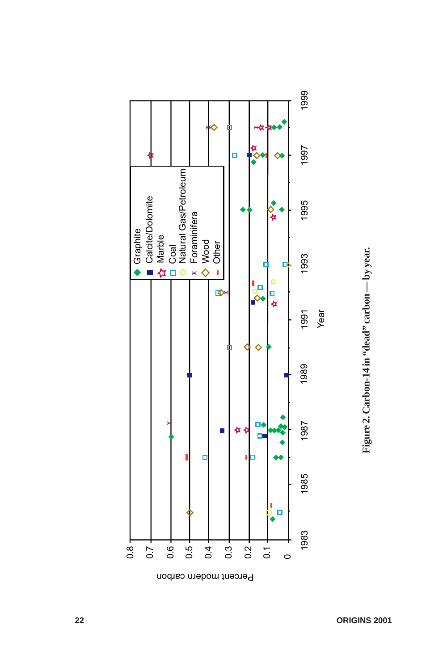

**Figure 2. Carbon-14 in "dead" carbon — by year.**

Figure 2. Carbon-14 in "dead" carbon - by year.

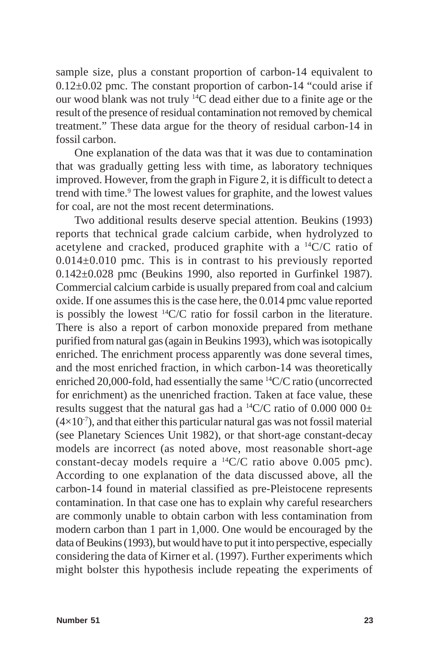sample size, plus a constant proportion of carbon-14 equivalent to  $0.12\pm0.02$  pmc. The constant proportion of carbon-14 "could arise if our wood blank was not truly 14C dead either due to a finite age or the result of the presence of residual contamination not removed by chemical treatment." These data argue for the theory of residual carbon-14 in fossil carbon.

One explanation of the data was that it was due to contamination that was gradually getting less with time, as laboratory techniques improved. However, from the graph in Figure 2, it is difficult to detect a trend with time.<sup>9</sup> The lowest values for graphite, and the lowest values for coal, are not the most recent determinations.

Two additional results deserve special attention. Beukins (1993) reports that technical grade calcium carbide, when hydrolyzed to acetylene and cracked, produced graphite with a 14C/C ratio of  $0.014 \pm 0.010$  pmc. This is in contrast to his previously reported 0.142±0.028 pmc (Beukins 1990, also reported in Gurfinkel 1987). Commercial calcium carbide is usually prepared from coal and calcium oxide. If one assumes this is the case here, the 0.014 pmc value reported is possibly the lowest  ${}^{14}C/C$  ratio for fossil carbon in the literature. There is also a report of carbon monoxide prepared from methane purified from natural gas (again in Beukins 1993), which was isotopically enriched. The enrichment process apparently was done several times, and the most enriched fraction, in which carbon-14 was theoretically enriched 20,000-fold, had essentially the same 14C/C ratio (uncorrected for enrichment) as the unenriched fraction. Taken at face value, these results suggest that the natural gas had a  $^{14}C/C$  ratio of 0.000 000 0 $\pm$  $(4\times10^{-7})$ , and that either this particular natural gas was not fossil material (see Planetary Sciences Unit 1982), or that short-age constant-decay models are incorrect (as noted above, most reasonable short-age constant-decay models require a 14C/C ratio above 0.005 pmc). According to one explanation of the data discussed above, all the carbon-14 found in material classified as pre-Pleistocene represents contamination. In that case one has to explain why careful researchers are commonly unable to obtain carbon with less contamination from modern carbon than 1 part in 1,000. One would be encouraged by the data of Beukins (1993), but would have to put it into perspective, especially considering the data of Kirner et al. (1997). Further experiments which might bolster this hypothesis include repeating the experiments of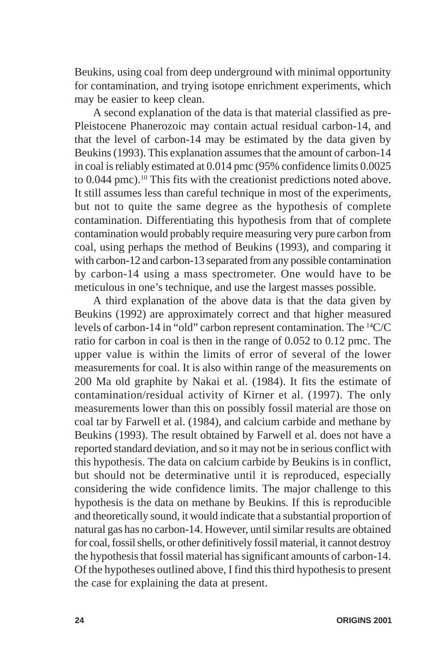Beukins, using coal from deep underground with minimal opportunity for contamination, and trying isotope enrichment experiments, which may be easier to keep clean.

A second explanation of the data is that material classified as pre-Pleistocene Phanerozoic may contain actual residual carbon-14, and that the level of carbon-14 may be estimated by the data given by Beukins (1993). This explanation assumes that the amount of carbon-14 in coal is reliably estimated at 0.014 pmc (95% confidence limits 0.0025 to 0.044 pmc).<sup>10</sup> This fits with the creationist predictions noted above. It still assumes less than careful technique in most of the experiments, but not to quite the same degree as the hypothesis of complete contamination. Differentiating this hypothesis from that of complete contamination would probably require measuring very pure carbon from coal, using perhaps the method of Beukins (1993), and comparing it with carbon-12 and carbon-13 separated from any possible contamination by carbon-14 using a mass spectrometer. One would have to be meticulous in one's technique, and use the largest masses possible.

A third explanation of the above data is that the data given by Beukins (1992) are approximately correct and that higher measured levels of carbon-14 in "old" carbon represent contamination. The 14C/C ratio for carbon in coal is then in the range of 0.052 to 0.12 pmc. The upper value is within the limits of error of several of the lower measurements for coal. It is also within range of the measurements on 200 Ma old graphite by Nakai et al. (1984). It fits the estimate of contamination/residual activity of Kirner et al. (1997). The only measurements lower than this on possibly fossil material are those on coal tar by Farwell et al. (1984), and calcium carbide and methane by Beukins (1993). The result obtained by Farwell et al. does not have a reported standard deviation, and so it may not be in serious conflict with this hypothesis. The data on calcium carbide by Beukins is in conflict, but should not be determinative until it is reproduced, especially considering the wide confidence limits. The major challenge to this hypothesis is the data on methane by Beukins. If this is reproducible and theoretically sound, it would indicate that a substantial proportion of natural gas has no carbon-14. However, until similar results are obtained for coal, fossil shells, or other definitively fossil material, it cannot destroy the hypothesis that fossil material has significant amounts of carbon-14. Of the hypotheses outlined above, I find this third hypothesis to present the case for explaining the data at present.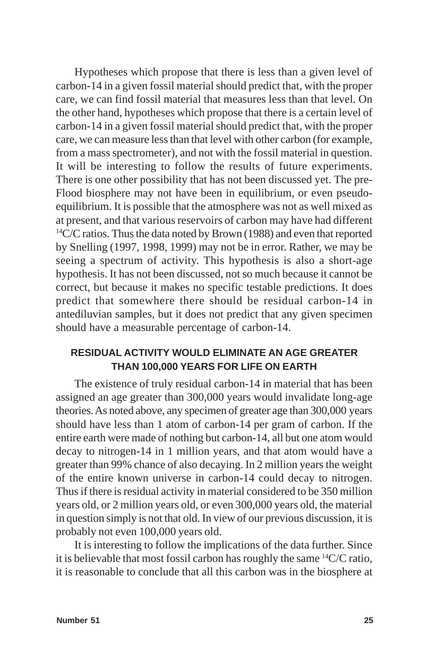Hypotheses which propose that there is less than a given level of carbon-14 in a given fossil material should predict that, with the proper care, we can find fossil material that measures less than that level. On the other hand, hypotheses which propose that there is a certain level of carbon-14 in a given fossil material should predict that, with the proper care, we can measure less than that level with other carbon (for example, from a mass spectrometer), and not with the fossil material in question. It will be interesting to follow the results of future experiments. There is one other possibility that has not been discussed yet. The pre-Flood biosphere may not have been in equilibrium, or even pseudoequilibrium. It is possible that the atmosphere was not as well mixed as at present, and that various reservoirs of carbon may have had different <sup>14</sup>C/C ratios. Thus the data noted by Brown (1988) and even that reported by Snelling (1997, 1998, 1999) may not be in error. Rather, we may be seeing a spectrum of activity. This hypothesis is also a short-age hypothesis. It has not been discussed, not so much because it cannot be correct, but because it makes no specific testable predictions. It does predict that somewhere there should be residual carbon-14 in antediluvian samples, but it does not predict that any given specimen should have a measurable percentage of carbon-14.

## **RESIDUAL ACTIVITY WOULD ELIMINATE AN AGE GREATER THAN 100,000 YEARS FOR LIFE ON EARTH**

The existence of truly residual carbon-14 in material that has been assigned an age greater than 300,000 years would invalidate long-age theories. As noted above, any specimen of greater age than 300,000 years should have less than 1 atom of carbon-14 per gram of carbon. If the entire earth were made of nothing but carbon-14, all but one atom would decay to nitrogen-14 in 1 million years, and that atom would have a greater than 99% chance of also decaying. In 2 million years the weight of the entire known universe in carbon-14 could decay to nitrogen. Thus if there is residual activity in material considered to be 350 million years old, or 2 million years old, or even 300,000 years old, the material in question simply is not that old. In view of our previous discussion, it is probably not even 100,000 years old.

It is interesting to follow the implications of the data further. Since it is believable that most fossil carbon has roughly the same 14C/C ratio, it is reasonable to conclude that all this carbon was in the biosphere at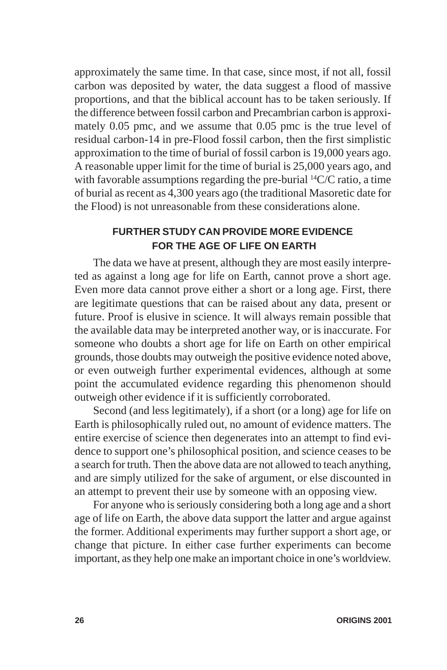approximately the same time. In that case, since most, if not all, fossil carbon was deposited by water, the data suggest a flood of massive proportions, and that the biblical account has to be taken seriously. If the difference between fossil carbon and Precambrian carbon is approximately 0.05 pmc, and we assume that 0.05 pmc is the true level of residual carbon-14 in pre-Flood fossil carbon, then the first simplistic approximation to the time of burial of fossil carbon is 19,000 years ago. A reasonable upper limit for the time of burial is 25,000 years ago, and with favorable assumptions regarding the pre-burial  ${}^{14}C/C$  ratio, a time of burial as recent as 4,300 years ago (the traditional Masoretic date for the Flood) is not unreasonable from these considerations alone.

## **FURTHER STUDY CAN PROVIDE MORE EVIDENCE FOR THE AGE OF LIFE ON EARTH**

The data we have at present, although they are most easily interpreted as against a long age for life on Earth, cannot prove a short age. Even more data cannot prove either a short or a long age. First, there are legitimate questions that can be raised about any data, present or future. Proof is elusive in science. It will always remain possible that the available data may be interpreted another way, or is inaccurate. For someone who doubts a short age for life on Earth on other empirical grounds, those doubts may outweigh the positive evidence noted above, or even outweigh further experimental evidences, although at some point the accumulated evidence regarding this phenomenon should outweigh other evidence if it is sufficiently corroborated.

Second (and less legitimately), if a short (or a long) age for life on Earth is philosophically ruled out, no amount of evidence matters. The entire exercise of science then degenerates into an attempt to find evidence to support one's philosophical position, and science ceases to be a search for truth. Then the above data are not allowed to teach anything, and are simply utilized for the sake of argument, or else discounted in an attempt to prevent their use by someone with an opposing view.

For anyone who is seriously considering both a long age and a short age of life on Earth, the above data support the latter and argue against the former. Additional experiments may further support a short age, or change that picture. In either case further experiments can become important, as they help one make an important choice in one's worldview.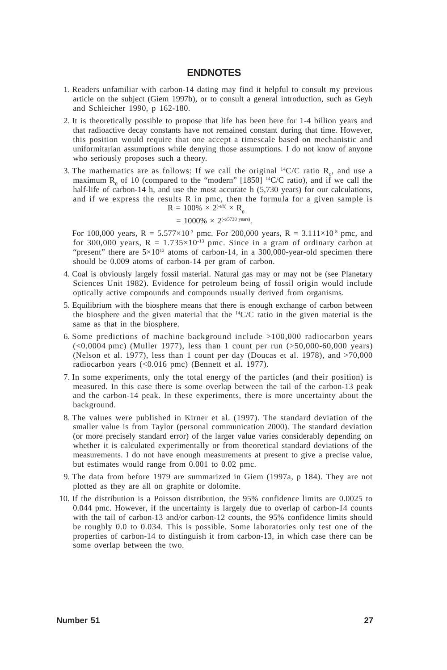### **ENDNOTES**

- 1. Readers unfamiliar with carbon-14 dating may find it helpful to consult my previous article on the subject (Giem 1997b), or to consult a general introduction, such as Geyh and Schleicher 1990, p 162-180.
- 2. It is theoretically possible to propose that life has been here for 1-4 billion years and that radioactive decay constants have not remained constant during that time. However, this position would require that one accept a timescale based on mechanistic and uniformitarian assumptions while denying those assumptions. I do not know of anyone who seriously proposes such a theory.
- 3. The mathematics are as follows: If we call the original <sup>14</sup>C/C ratio  $R_0$ , and use a maximum  $R_0$  of 10 (compared to the "modern" [1850] <sup>14</sup>C/C ratio), and if we call the half-life of carbon-14 h, and use the most accurate h (5,730 years) for our calculations, and if we express the results R in pmc, then the formula for a given sample is  $R = 100\% \times 2^{(-t/h)} \times R$

$$
= 1000\% \times 2^{(-t/5730 \text{ years})}.
$$

For 100,000 years,  $R = 5.577 \times 10^{-3}$  pmc. For 200,000 years,  $R = 3.111 \times 10^{-8}$  pmc, and for 300,000 years,  $R = 1.735 \times 10^{-13}$  pmc. Since in a gram of ordinary carbon at "present" there are  $5\times10^{12}$  atoms of carbon-14, in a 300,000-year-old specimen there should be 0.009 atoms of carbon-14 per gram of carbon.

- 4. Coal is obviously largely fossil material. Natural gas may or may not be (see Planetary Sciences Unit 1982). Evidence for petroleum being of fossil origin would include optically active compounds and compounds usually derived from organisms.
- 5. Equilibrium with the biosphere means that there is enough exchange of carbon between the biosphere and the given material that the  $^{14}C/C$  ratio in the given material is the same as that in the biosphere.
- 6. Some predictions of machine background include  $>100,000$  radiocarbon years  $(<0.0004$  pmc) (Muller 1977), less than 1 count per run  $(>50,000-60,000$  years) (Nelson et al. 1977), less than 1 count per day (Doucas et al. 1978), and  $>70,000$ radiocarbon years (<0.016 pmc) (Bennett et al. 1977).
- 7. In some experiments, only the total energy of the particles (and their position) is measured. In this case there is some overlap between the tail of the carbon-13 peak and the carbon-14 peak. In these experiments, there is more uncertainty about the background.
- 8. The values were published in Kirner et al. (1997). The standard deviation of the smaller value is from Taylor (personal communication 2000). The standard deviation (or more precisely standard error) of the larger value varies considerably depending on whether it is calculated experimentally or from theoretical standard deviations of the measurements. I do not have enough measurements at present to give a precise value, but estimates would range from 0.001 to 0.02 pmc.
- 9. The data from before 1979 are summarized in Giem (1997a, p 184). They are not plotted as they are all on graphite or dolomite.
- 10. If the distribution is a Poisson distribution, the 95% confidence limits are 0.0025 to 0.044 pmc. However, if the uncertainty is largely due to overlap of carbon-14 counts with the tail of carbon-13 and/or carbon-12 counts, the 95% confidence limits should be roughly 0.0 to 0.034. This is possible. Some laboratories only test one of the properties of carbon-14 to distinguish it from carbon-13, in which case there can be some overlap between the two.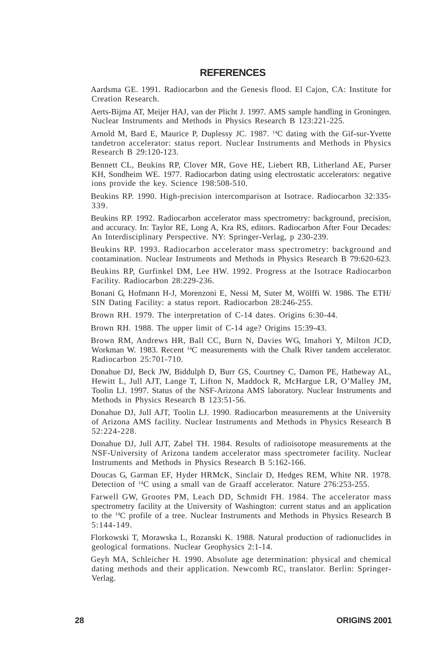#### **REFERENCES**

Aardsma GE. 1991. Radiocarbon and the Genesis flood. El Cajon, CA: Institute for Creation Research.

Aerts-Bijma AT, Meijer HAJ, van der Plicht J. 1997. AMS sample handling in Groningen. Nuclear Instruments and Methods in Physics Research B 123:221-225.

Arnold M, Bard E, Maurice P, Duplessy JC. 1987. <sup>14</sup>C dating with the Gif-sur-Yvette tandetron accelerator: status report. Nuclear Instruments and Methods in Physics Research B 29:120-123.

Bennett CL, Beukins RP, Clover MR, Gove HE, Liebert RB, Litherland AE, Purser KH, Sondheim WE. 1977. Radiocarbon dating using electrostatic accelerators: negative ions provide the key. Science 198:508-510.

Beukins RP. 1990. High-precision intercomparison at Isotrace. Radiocarbon 32:335- 339.

Beukins RP. 1992. Radiocarbon accelerator mass spectrometry: background, precision, and accuracy. In: Taylor RE, Long A, Kra RS, editors. Radiocarbon After Four Decades: An Interdisciplinary Perspective. NY: Springer-Verlag, p 230-239.

Beukins RP. 1993. Radiocarbon accelerator mass spectrometry: background and contamination. Nuclear Instruments and Methods in Physics Research B 79:620-623.

Beukins RP, Gurfinkel DM, Lee HW. 1992. Progress at the Isotrace Radiocarbon Facility. Radiocarbon 28:229-236.

Bonani G, Hofmann H-J, Morenzoni E, Nessi M, Suter M, Wölffi W. 1986. The ETH/ SIN Dating Facility: a status report. Radiocarbon 28:246-255.

Brown RH. 1979. The interpretation of C-14 dates. Origins 6:30-44.

Brown RH. 1988. The upper limit of C-14 age? Origins 15:39-43.

Brown RM, Andrews HR, Ball CC, Burn N, Davies WG, Imahori Y, Milton JCD, Workman W. 1983. Recent <sup>14</sup>C measurements with the Chalk River tandem accelerator. Radiocarbon 25:701-710.

Donahue DJ, Beck JW, Biddulph D, Burr GS, Courtney C, Damon PE, Hatheway AL, Hewitt L, Jull AJT, Lange T, Lifton N, Maddock R, McHargue LR, O'Malley JM, Toolin LJ. 1997. Status of the NSF-Arizona AMS laboratory. Nuclear Instruments and Methods in Physics Research B 123:51-56.

Donahue DJ, Jull AJT, Toolin LJ. 1990. Radiocarbon measurements at the University of Arizona AMS facility. Nuclear Instruments and Methods in Physics Research B 52:224-228.

Donahue DJ, Jull AJT, Zabel TH. 1984. Results of radioisotope measurements at the NSF-University of Arizona tandem accelerator mass spectrometer facility. Nuclear Instruments and Methods in Physics Research B 5:162-166.

Doucas G, Garman EF, Hyder HRMcK, Sinclair D, Hedges REM, White NR. 1978. Detection of 14C using a small van de Graaff accelerator. Nature 276:253-255.

Farwell GW, Grootes PM, Leach DD, Schmidt FH. 1984. The accelerator mass spectrometry facility at the University of Washington: current status and an application to the 14C profile of a tree. Nuclear Instruments and Methods in Physics Research B 5:144-149.

Florkowski T, Morawska L, Rozanski K. 1988. Natural production of radionuclides in geological formations. Nuclear Geophysics 2:1-14.

Geyh MA, Schleicher H. 1990. Absolute age determination: physical and chemical dating methods and their application. Newcomb RC, translator. Berlin: Springer-Verlag.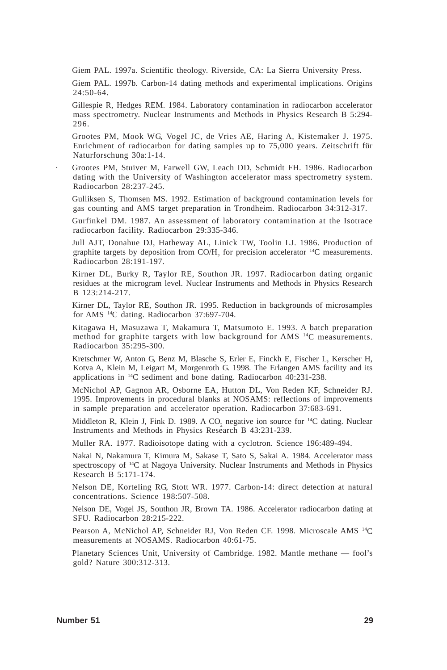Giem PAL. 1997a. Scientific theology. Riverside, CA: La Sierra University Press.

Giem PAL. 1997b. Carbon-14 dating methods and experimental implications. Origins 24:50-64.

Gillespie R, Hedges REM. 1984. Laboratory contamination in radiocarbon accelerator mass spectrometry. Nuclear Instruments and Methods in Physics Research B 5:294- 296.

Grootes PM, Mook WG, Vogel JC, de Vries AE, Haring A, Kistemaker J. 1975. Enrichment of radiocarbon for dating samples up to 75,000 years. Zeitschrift für Naturforschung 30a:1-14.

· Grootes PM, Stuiver M, Farwell GW, Leach DD, Schmidt FH. 1986. Radiocarbon dating with the University of Washington accelerator mass spectrometry system. Radiocarbon 28:237-245.

Gulliksen S, Thomsen MS. 1992. Estimation of background contamination levels for gas counting and AMS target preparation in Trondheim. Radiocarbon 34:312-317.

Gurfinkel DM. 1987. An assessment of laboratory contamination at the Isotrace radiocarbon facility. Radiocarbon 29:335-346.

Jull AJT, Donahue DJ, Hatheway AL, Linick TW, Toolin LJ. 1986. Production of graphite targets by deposition from CO/ $H_2$  for precision accelerator <sup>14</sup>C measurements. Radiocarbon 28:191-197.

Kirner DL, Burky R, Taylor RE, Southon JR. 1997. Radiocarbon dating organic residues at the microgram level. Nuclear Instruments and Methods in Physics Research B 123:214-217.

Kirner DL, Taylor RE, Southon JR. 1995. Reduction in backgrounds of microsamples for AMS 14C dating. Radiocarbon 37:697-704.

Kitagawa H, Masuzawa T, Makamura T, Matsumoto E. 1993. A batch preparation method for graphite targets with low background for AMS 14C measurements. Radiocarbon 35:295-300.

Kretschmer W, Anton G, Benz M, Blasche S, Erler E, Finckh E, Fischer L, Kerscher H, Kotva A, Klein M, Leigart M, Morgenroth G. 1998. The Erlangen AMS facility and its applications in 14C sediment and bone dating. Radiocarbon 40:231-238.

McNichol AP, Gagnon AR, Osborne EA, Hutton DL, Von Reden KF, Schneider RJ. 1995. Improvements in procedural blanks at NOSAMS: reflections of improvements in sample preparation and accelerator operation. Radiocarbon 37:683-691.

Middleton R, Klein J, Fink D. 1989. A  $CO_2$  negative ion source for <sup>14</sup>C dating. Nuclear Instruments and Methods in Physics Research B 43:231-239.

Muller RA. 1977. Radioisotope dating with a cyclotron. Science 196:489-494.

Nakai N, Nakamura T, Kimura M, Sakase T, Sato S, Sakai A. 1984. Accelerator mass spectroscopy of 14C at Nagoya University. Nuclear Instruments and Methods in Physics Research B 5:171-174.

Nelson DE, Korteling RG, Stott WR. 1977. Carbon-14: direct detection at natural concentrations. Science 198:507-508.

Nelson DE, Vogel JS, Southon JR, Brown TA. 1986. Accelerator radiocarbon dating at SFU. Radiocarbon 28:215-222.

Pearson A, McNichol AP, Schneider RJ, Von Reden CF. 1998. Microscale AMS 14C measurements at NOSAMS. Radiocarbon 40:61-75.

Planetary Sciences Unit, University of Cambridge. 1982. Mantle methane — fool's gold? Nature 300:312-313.